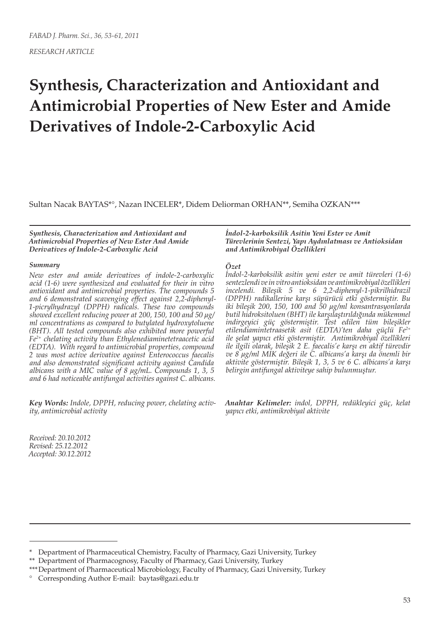# **Synthesis, Characterization and Antioxidant and Antimicrobial Properties of New Ester and Amide Derivatives of Indole-2-Carboxylic Acid**

Sultan Nacak BAYTAS\*°, Nazan INCELER\*, Didem Deliorman ORHAN\*\*, Semiha OZKAN\*\*\*

*Synthesis, Characterization and Antioxidant and Antimicrobial Properties of New Ester And Amide Derivatives of Indole-2-Carboxylic Acid*

#### *Summary*

*New ester and amide derivatives of indole-2-carboxylic acid (1-6) were synthesized and evaluated for their in vitro antioxidant and antimicrobial properties. The compounds 5 and 6 demonstrated scavenging effect against 2,2-diphenyl-1-picrylhydrazyl (DPPH) radicals. These two compounds showed excellent reducing power at 200, 150, 100 and 50 μg/ ml concentrations as compared to butylated hydroxytoluene (BHT). All tested compounds also exhibited more powerful Fe2+ chelating activity than Ethylenediaminetetraacetic acid (EDTA). With regard to antimicrobial properties, compound 2 was most active derivative against Enterococcus faecalis and also demonstrated significant activity against Candida albicans with a MIC value of 8 µg/mL. Compounds 1, 3, 5 and 6 had noticeable antifungal activities against C. albicans.*

*Key Words: Indole, DPPH, reducing power, chelating activity, antimicrobial activity*

*Received: 20.10.2012 Revised: 25.12.2012 Accepted: 30.12.2012* *İndol-2-karboksilik Asitin Yeni Ester ve Amit Türevlerinin Sentezi, Yapı Aydınlatması ve Antioksidan and Antimikrobiyal Özellikleri*

### *Özet*

*İndol-2-karboksilik asitin yeni ester ve amit türevleri (1-6) sentezlendi ve in vitro antioksidan ve antimikrobiyal özellikleri incelendi. Bileşik 5 ve 6 2,2-diphenyl-1-pikrilhidrazil (DPPH) radikallerine karşı süpürücü etki göstermiştir. Bu iki bileşik 200, 150, 100 and 50 μg/ml konsantrasyonlarda butil hidroksitoluen (BHT) ile karşılaştırıldığında mükemmel indirgeyici güç göstermiştir. Test edilen tüm bileşikler etilendiamintetraasetik asit (EDTA)'ten daha güçlü Fe2+ ile şelat yapıcı etki göstermiştir. Antimikrobiyal özellikleri ile ilgili olarak, bileşik 2 E. faecalis'e karşı en aktif türevdir ve 8 μg/ml MİK değeri ile C. albicans'a karşı da önemli bir aktivite göstermiştir. Bileşik 1, 3, 5 ve 6 C. albicans'a karşı belirgin antifungal aktiviteye sahip bulunmuştur.*

*Anahtar Kelimeler: indol, DPPH, redükleyici güç, kelat yapıcı etki, antimikrobiyal aktivite*

<sup>\*</sup> Department of Pharmaceutical Chemistry, Faculty of Pharmacy, Gazi University, Turkey

<sup>\*\*</sup> Department of Pharmacognosy, Faculty of Pharmacy, Gazi University, Turkey

<sup>\*\*\*</sup>Department of Pharmaceutical Microbiology, Faculty of Pharmacy, Gazi University, Turkey

<sup>°</sup> Corresponding Author E-mail: baytas@gazi.edu.tr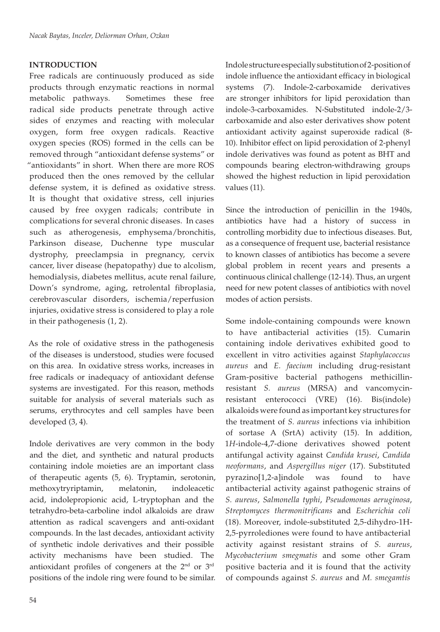### **INTRODUCTION**

Free radicals are continuously produced as side products through enzymatic reactions in normal metabolic pathways. Sometimes these free radical side products penetrate through active sides of enzymes and reacting with molecular oxygen, form free oxygen radicals. Reactive oxygen species (ROS) formed in the cells can be removed through "antioxidant defense systems" or "antioxidants" in short. When there are more ROS produced then the ones removed by the cellular defense system, it is defined as oxidative stress. It is thought that oxidative stress, cell injuries caused by free oxygen radicals; contribute in complications for several chronic diseases. In cases such as atherogenesis, emphysema/bronchitis, Parkinson disease, Duchenne type muscular dystrophy, preeclampsia in pregnancy, cervix cancer, liver disease (hepatopathy) due to alcolism, hemodialysis, diabetes mellitus, acute renal failure, Down's syndrome, aging, retrolental fibroplasia, cerebrovascular disorders, ischemia/reperfusion injuries, oxidative stress is considered to play a role in their pathogenesis (1, 2).

As the role of oxidative stress in the pathogenesis of the diseases is understood, studies were focused on this area. In oxidative stress works, increases in free radicals or inadequacy of antioxidant defense systems are investigated. For this reason, methods suitable for analysis of several materials such as serums, erythrocytes and cell samples have been developed (3, 4).

Indole derivatives are very common in the body and the diet, and synthetic and natural products containing indole moieties are an important class of therapeutic agents (5, 6). Tryptamin, serotonin, methoxytryriptamin, melatonin, indoleacetic acid, indolepropionic acid, L-tryptophan and the tetrahydro-beta-carboline indol alkaloids are draw attention as radical scavengers and anti-oxidant compounds. In the last decades, antioxidant activity of synthetic indole derivatives and their possible activity mechanisms have been studied. The antioxidant profiles of congeners at the 2nd or 3rd positions of the indole ring were found to be similar.

Indole structure especially substitution of 2-position of indole influence the antioxidant efficacy in biological systems (7). Indole-2-carboxamide derivatives are stronger inhibitors for lipid peroxidation than indole-3-carboxamides. N-Substituted indole-2/3 carboxamide and also ester derivatives show potent antioxidant activity against superoxide radical (8- 10). Inhibitor effect on lipid peroxidation of 2-phenyl indole derivatives was found as potent as BHT and compounds bearing electron-withdrawing groups showed the highest reduction in lipid peroxidation values (11).

Since the introduction of penicillin in the 1940s, antibiotics have had a history of success in controlling morbidity due to infectious diseases. But, as a consequence of frequent use, bacterial resistance to known classes of antibiotics has become a severe global problem in recent years and presents a continuous clinical challenge (12-14). Thus, an urgent need for new potent classes of antibiotics with novel modes of action persists.

Some indole-containing compounds were known to have antibacterial activities (15). Cumarin containing indole derivatives exhibited good to excellent in vitro activities against *Staphylacoccus aureus* and *E. faecium* including drug-resistant Gram-positive bacterial pathogens methicillinresistant *S. aureus* (MRSA) and vancomycinresistant enterococci (VRE) (16). Bis(indole) alkaloids were found as important key structures for the treatment of *S. aureus* infections via inhibition of sortase A (SrtA) activity (15). In addition, 1*H*-indole-4,7-dione derivatives showed potent antifungal activity against *Candida krusei*, *Candida neoformans*, and *Aspergillus niger* (17). Substituted pyrazino[1,2-a]indole was found to have antibacterial activity against pathogenic strains of *S. aureus*, *Salmonella typhi*, *Pseudomonas aeruginosa*, *Streptomyces thermonitrificans* and *Escherichia coli* (18). Moreover, indole-substituted 2,5-dihydro-1H-2,5-pyrrolediones were found to have antibacterial activity against resistant strains of *S. aureus*, *Mycobacterium smegmatis* and some other Gram positive bacteria and it is found that the activity of compounds against *S. aureus* and *M. smegamtis*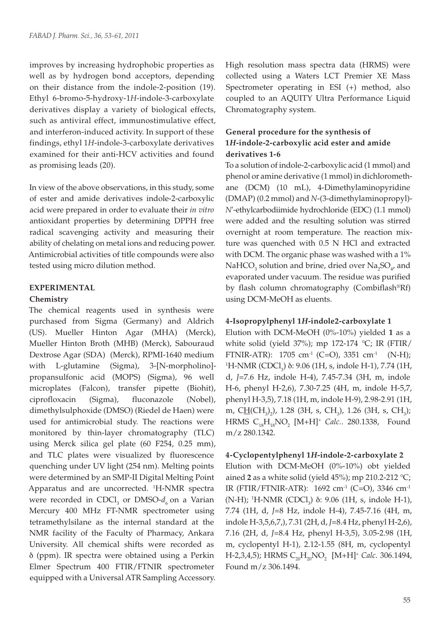improves by increasing hydrophobic properties as well as by hydrogen bond acceptors, depending on their distance from the indole-2-position (19). Ethyl 6-bromo-5-hydroxy-1*H*-indole-3-carboxylate derivatives display a variety of biological effects, such as antiviral effect, immunostimulative effect, and interferon-induced activity. In support of these findings, ethyl 1*H*-indole-3-carboxylate derivatives examined for their anti-HCV activities and found as promising leads (20).

In view of the above observations, in this study, some of ester and amide derivatives indole-2-carboxylic acid were prepared in order to evaluate their *in vitro* antioxidant properties by determining DPPH free radical scavenging activity and measuring their ability of chelating on metal ions and reducing power. Antimicrobial activities of title compounds were also tested using micro dilution method.

### **EXPERIMENTAL**

### **Chemistry**

The chemical reagents used in synthesis were purchased from Sigma (Germany) and Aldrich (US). Mueller Hinton Agar (MHA) (Merck), Mueller Hinton Broth (MHB) (Merck), Sabouraud Dextrose Agar (SDA) (Merck), RPMI-1640 medium with L-glutamine (Sigma), 3-[N-morpholino] propansulfonic acid (MOPS) (Sigma), 96 well microplates (Falcon), transfer pipette (Biohit), ciprofloxacin (Sigma), fluconazole (Nobel), dimethylsulphoxide (DMSO) (Riedel de Haen) were used for antimicrobial study. The reactions were monitored by thin-layer chromatography (TLC) using Merck silica gel plate (60 F254, 0.25 mm), and TLC plates were visualized by fluorescence quenching under UV light (254 nm). Melting points were determined by an SMP-II Digital Melting Point Apparatus and are uncorrected. <sup>1</sup>H-NMR spectra were recorded in CDCl<sub>3</sub> or DMSO- $d_6$  on a Varian Mercury 400 MHz FT-NMR spectrometer using tetramethylsilane as the internal standard at the NMR facility of the Faculty of Pharmacy, Ankara University. All chemical shifts were recorded as δ (ppm). IR spectra were obtained using a Perkin Elmer Spectrum 400 FTIR/FTNIR spectrometer equipped with a Universal ATR Sampling Accessory.

High resolution mass spectra data (HRMS) were collected using a Waters LCT Premier XE Mass Spectrometer operating in ESI (+) method, also coupled to an AQUITY Ultra Performance Liquid Chromatography system.

# **General procedure for the synthesis of 1***H***-indole-2-carboxylic acid ester and amide derivatives 1-6**

To a solution of indole-2-carboxylic acid (1 mmol) and phenol or amine derivative (1 mmol) in dichloromethane (DCM) (10 mL), 4-Dimethylaminopyridine (DMAP) (0.2 mmol) and *N*-(3-dimethylaminopropyl)- *N*′-ethylcarbodiimide hydrochloride (EDC) (1.1 mmol) were added and the resulting solution was stirred overnight at room temperature. The reaction mixture was quenched with 0.5 N HCl and extracted with DCM. The organic phase was washed with a 1% NaHCO<sub>3</sub> solution and brine, dried over  $\text{Na}_2\text{SO}_4$ , and evaporated under vacuum. The residue was purified by flash column chromatography (Combiflash*®*Rf) using DCM-MeOH as eluents.

### **4-Isopropylphenyl 1***H***-indole2-carboxylate 1**

Elution with DCM-MeOH (0%-10%) yielded **1** as a white solid (yield 37%); mp 172-174 *°*C; IR (FTIR/ FTNIR-ATR):  $1705 \text{ cm}^{-1}$  (C=O),  $3351 \text{ cm}^{-1}$  (N-H); <sup>1</sup>H-NMR (CDCl<sub>3</sub>) δ: 9.06 (1H, s, indole H-1), 7.74 (1H, d, *J*=7.6 Hz, indole H-4), 7.45-7.34 (3H, m, indole H-6, phenyl H-2,6), 7.30-7.25 (4H, m, indole H-5,7, phenyl H-3,5), 7.18 (1H, m, indole H-9), 2.98-2.91 (1H, m, C<u>H</u>(CH<sub>3</sub>)<sub>2</sub>), 1.28 (3H, s, CH<sub>3</sub>), 1.26 (3H, s, CH<sub>3</sub>); HRMS C<sub>18</sub>H<sub>18</sub>NO<sub>2</sub> [M+H]<sup>+</sup> Calc.. 280.1338, Found m/z 280.1342.

### **4-Cyclopentylphenyl 1***H***-indole-2-carboxylate 2**

Elution with DCM-MeOH (0%-10%) obt yielded ained **2** as a white solid (yield 45%); mp 210.2-212 *°*C; IR (FTIR/FTNIR-ATR): 1692 cm-1 (C=O), 3346 cm-1 (N-H); <sup>1</sup>H-NMR (CDCl<sub>3</sub>)  $\delta$ : 9.06 (1H, s, indole H-1), 7.74 (1H, d, *J*=8 Hz, indole H-4), 7.45-7.16 (4H, m, indole H-3,5,6,7,), 7.31 (2H, d, *J*=8.4 Hz, phenyl H-2,6), 7.16 (2H, d, *J*=8.4 Hz, phenyl H-3,5), 3.05-2.98 (1H, m, cyclopentyl H-1), 2.12-1.55 (8H, m, cyclopentyl H-2,3,4,5); HRMS C<sub>20</sub>H<sub>20</sub>NO<sub>2</sub> [M+H]<sup>+</sup> Calc. 306.1494, Found m/z 306.1494.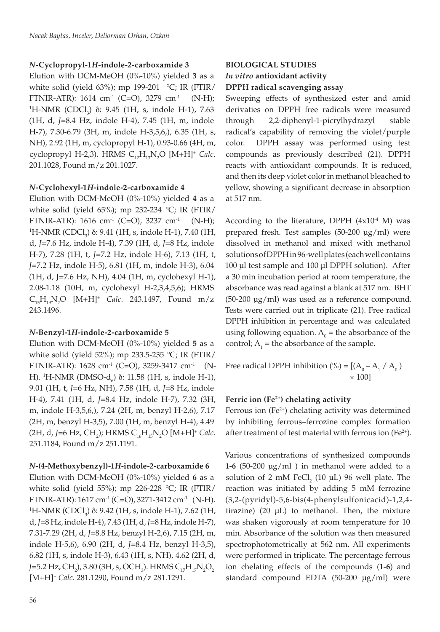## *N***-Cyclopropyl-1***H***-indole-2-carboxamide 3**

Elution with DCM-MeOH (0%-10%) yielded **3** as a white solid (yield 63%); mp 199-201 *°*C; IR (FTIR/ FTNIR-ATR): 1614 cm<sup>-1</sup> (C=O), 3279 cm<sup>-1</sup> (N-H); <sup>1</sup>H-NMR (CDCl<sub>3</sub>) δ: 9.45 (1H, s, indole H-1), 7.63 (1H, d, *J*=8.4 Hz, indole H-4), 7.45 (1H, m, indole H-7), 7.30-6.79 (3H, m, indole H-3,5,6,), 6.35 (1H, s, NH), 2.92 (1H, m, cyclopropyl H-1), 0.93-0.66 (4H, m, cyclopropyl H-2,3). HRMS C<sub>12</sub>H<sub>13</sub>N<sub>2</sub>O [M+H]<sup>+</sup> *Calc*. 201.1028, Found m/z 201.1027.

### *N***-Cyclohexyl-1***H***-indole-2-carboxamide 4**

Elution with DCM-MeOH (0%-10%) yielded **4** as a white solid (yield 65%); mp 232-234 *°*C; IR (FTIR/ FTNIR-ATR):  $1616 \text{ cm}^{-1}$  (C=O),  $3237 \text{ cm}^{-1}$  (N-H); <sup>1</sup>H-NMR (CDCl<sub>3</sub>) δ: 9.41 (1H, s, indole H-1), 7.40 (1H, d, *J*=7.6 Hz, indole H-4), 7.39 (1H, d, *J*=8 Hz, indole H-7), 7.28 (1H, t, *J*=7.2 Hz, indole H-6), 7.13 (1H, t, *J*=7.2 Hz, indole H-5), 6.81 (1H, m, indole H-3), 6.04 (1H, d, J=7.6 Hz, NH), 4.04 (1H, m, cyclohexyl H-1), 2.08-1.18 (10H, m, cyclohexyl H-2,3,4,5,6); HRMS C15H19N2 O [M+H]+ *Calc*. 243.1497, Found m/z 243.1496.

### *N***-Benzyl-1***H***-indole-2-carboxamide 5**

Elution with DCM-MeOH (0%-10%) yielded **5** as a white solid (yield 52%); mp 233.5-235 *°*C; IR (FTIR/ FTNIR-ATR):  $1628 \text{ cm}^{-1}$  (C=O),  $3259-3417 \text{ cm}^{-1}$  (N-H). <sup>1</sup>H-NMR (DMSO-d<sub>6</sub>) δ: 11.58 (1H, s, indole H-1), 9.01 (1H, t, *J*=6 Hz, NH), 7.58 (1H, d, *J*=8 Hz, indole H-4), 7.41 (1H, d, *J*=8.4 Hz, indole H-7), 7.32 (3H, m, indole H-3,5,6,), 7.24 (2H, m, benzyl H-2,6), 7.17 (2H, m, benzyl H-3,5), 7.00 (1H, m, benzyl H-4), 4.49 (2H, d, J=6 Hz, CH<sub>2</sub>); HRMS C<sub>16</sub>H<sub>15</sub>N<sub>2</sub>O [M+H]<sup>+</sup> Calc. 251.1184, Found m/z 251.1191.

### *N***-(4-Methoxybenzyl)-1***H***-indole-2-carboxamide 6**

Elution with DCM-MeOH (0%-10%) yielded **6** as a white solid (yield 55%); mp 226-228 *°*C; IR (FTIR/ FTNIR-ATR): 1617 cm-1 (C=O), 3271-3412 cm-1 (N-H). <sup>1</sup>H-NMR (CDCl<sub>3</sub>) δ: 9.42 (1H, s, indole H-1), 7.62 (1H, d, *J*=8 Hz, indole H-4), 7.43 (1H, d, *J*=8 Hz, indole H-7), 7.31-7.29 (2H, d, *J*=8.8 Hz, benzyl H-2,6), 7.15 (2H, m, indole H-5,6), 6.90 (2H, d, *J*=8.4 Hz, benzyl H-3,5), 6.82 (1H, s, indole H-3), 6.43 (1H, s, NH), 4.62 (2H, d, J=5.2 Hz, CH<sub>2</sub>), 3.80 (3H, s, OCH<sub>3</sub>). HRMS C<sub>17</sub>H<sub>17</sub>N<sub>2</sub>O<sub>2</sub> [M+H]+ *Calc.* 281.1290, Found m/z 281.1291.

# **BIOLOGICAL STUDIES**

# *In vitro* **antioxidant activity**

## **DPPH radical scavenging assay**

Sweeping effects of synthesized ester and amid derivaties on DPPH free radicals were measured through 2,2-diphenyl-1-picrylhydrazyl stable radical's capability of removing the violet/purple color. DPPH assay was performed using test compounds as previously described (21). DPPH reacts with antioxidant compounds. It is reduced, and then its deep violet color in methanol bleached to yellow, showing a significant decrease in absorption at 517 nm.

According to the literature, DPPH  $(4x10<sup>-4</sup> M)$  was prepared fresh. Test samples (50-200 µg/ml) were dissolved in methanol and mixed with methanol solutions of DPPH in 96-well plates (each well contains 100 µl test sample and 100 µl DPPH solution). After a 30 min incubation period at room temperature, the absorbance was read against a blank at 517 nm. BHT (50-200 µg/ml) was used as a reference compound. Tests were carried out in triplicate (21). Free radical DPPH inhibition in percentage and was calculated using following equation.  $A_0$  = the absorbance of the control;  $A_1$  = the absorbance of the sample.

Free radical DPPH inhibition (%) =  $[(A_0 - A_1 / A_0)]$  $\times$  100]

### **Ferric ion (Fe2+) chelating activity**

Ferrous ion  $(Fe^{2+})$  chelating activity was determined by inhibiting ferrous–ferrozine complex formation after treatment of test material with ferrous ion (Fe<sup>2+</sup>).

Various concentrations of synthesized compounds **1-6** (50-200 µg/ml ) in methanol were added to a solution of 2 mM  $FeCl<sub>2</sub>$  (10  $\mu$ L) 96 well plate. The reaction was initiated by adding 5 mM ferrozine (3,2-(pyridyl)-5,6-bis(4-phenylsulfonicacid)-1,2,4 tirazine) (20 µL) to methanol. Then, the mixture was shaken vigorously at room temperature for 10 min. Absorbance of the solution was then measured spectrophotometrically at 562 nm. All experiments were performed in triplicate. The percentage ferrous ion chelating effects of the compounds (**1-6**) and standard compound EDTA (50-200 µg/ml) were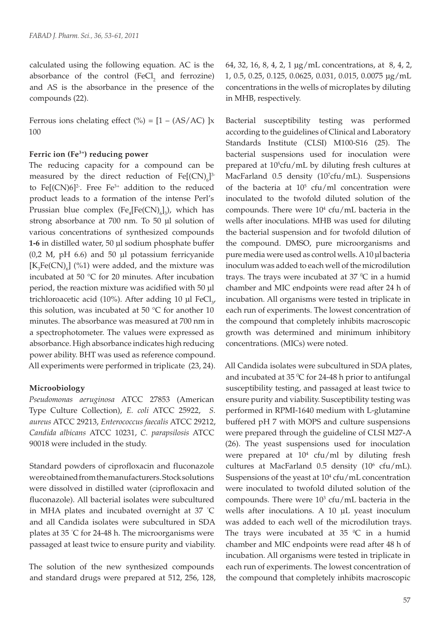calculated using the following equation. AC is the absorbance of the control  $(FeCl<sub>2</sub>$  and ferrozine) and AS is the absorbance in the presence of the compounds (22).

Ferrous ions chelating effect (%) =  $[1 - (AS/AC)]x$ 100

### **Ferric ion (Fe3+) reducing power**

The reducing capacity for a compound can be measured by the direct reduction of  $Fe[$ (CN)<sub>6</sub> $]$ <sup>3</sup> to Fe[ $(CN)6$ ]<sup>2</sup>. Free Fe<sup>3+</sup> addition to the reduced product leads to a formation of the intense Perl's Prussian blue complex  $(Fe_4[Fe(CN)_6]_3)$ , which has strong absorbance at 700 nm. To 50 µl solution of various concentrations of synthesized compounds **1-6** in distilled water, 50 µl sodium phosphate buffer (0,2 M, pH 6.6) and 50 µl potassium ferricyanide  $[K<sub>3</sub>Fe(CN)<sub>6</sub>]$  (%1) were added, and the mixture was incubated at 50 °C for 20 minutes. After incubation period, the reaction mixture was acidified with 50 µl trichloroacetic acid (10%). After adding 10  $\mu$ l FeCl<sub>3</sub>, this solution, was incubated at 50 °C for another 10 minutes. The absorbance was measured at 700 nm in a spectrophotometer. The values were expressed as absorbance. High absorbance indicates high reducing power ability. BHT was used as reference compound. All experiments were performed in triplicate (23, 24).

### **Microobiology**

*Pseudomonas aeruginosa* ATCC 27853 (American Type Culture Collection), *E. coli* ATCC 25922, *S. aureus* ATCC 29213, *Enterococcus faecalis* ATCC 29212, *Candida albicans* ATCC 10231, *C. parapsilosis* ATCC 90018 were included in the study.

Standard powders of ciprofloxacin and fluconazole were obtained from the manufacturers. Stock solutions were dissolved in distilled water (ciprofloxacin and fluconazole). All bacterial isolates were subcultured in MHA plates and incubated overnight at 37 ° C and all Candida isolates were subcultured in SDA plates at 35 ° C for 24-48 h. The microorganisms were passaged at least twice to ensure purity and viability.

The solution of the new synthesized compounds and standard drugs were prepared at 512, 256, 128, 64, 32, 16, 8, 4, 2, 1 µg/mL concentrations, at 8, 4, 2, 1, 0.5, 0.25, 0.125, 0.0625, 0.031, 0.015, 0.0075 µg/mL concentrations in the wells of microplates by diluting in MHB, respectively.

Bacterial susceptibility testing was performed according to the guidelines of Clinical and Laboratory Standards Institute (CLSI) M100-S16 (25). The bacterial suspensions used for inoculation were prepared at 105 cfu/mL by diluting fresh cultures at MacFarland 0.5 density (10<sup>7</sup>cfu/mL). Suspensions of the bacteria at  $10^5$  cfu/ml concentration were inoculated to the twofold diluted solution of the compounds. There were  $10<sup>4</sup>$  cfu/mL bacteria in the wells after inoculations. MHB was used for diluting the bacterial suspension and for twofold dilution of the compound. DMSO, pure microorganisms and pure media were used as control wells. A 10 µl bacteria inoculum was added to each well of the microdilution trays. The trays were incubated at  $37 \,^{\circ}\text{C}$  in a humid chamber and MIC endpoints were read after 24 h of incubation. All organisms were tested in triplicate in each run of experiments. The lowest concentration of the compound that completely inhibits macroscopic growth was determined and minimum inhibitory concentrations. (MICs) were noted.

All Candida isolates were subcultured in SDA plates, and incubated at  $35\,^{\circ}$ C for 24-48 h prior to antifungal susceptibility testing, and passaged at least twice to ensure purity and viability. Susceptibility testing was performed in RPMI-1640 medium with L-glutamine buffered pH 7 with MOPS and culture suspensions were prepared through the guideline of CLSI M27-A (26). The yeast suspensions used for inoculation were prepared at  $10<sup>4</sup>$  cfu/ml by diluting fresh cultures at MacFarland  $0.5$  density  $(10^6 \text{ cfu/mL})$ . Suspensions of the yeast at  $10^4$  cfu/mL concentration were inoculated to twofold diluted solution of the compounds. There were  $10<sup>3</sup>$  cfu/mL bacteria in the wells after inoculations. A 10 µL yeast inoculum was added to each well of the microdilution trays. The trays were incubated at 35  $\mathrm{C}$  in a humid chamber and MIC endpoints were read after 48 h of incubation. All organisms were tested in triplicate in each run of experiments. The lowest concentration of the compound that completely inhibits macroscopic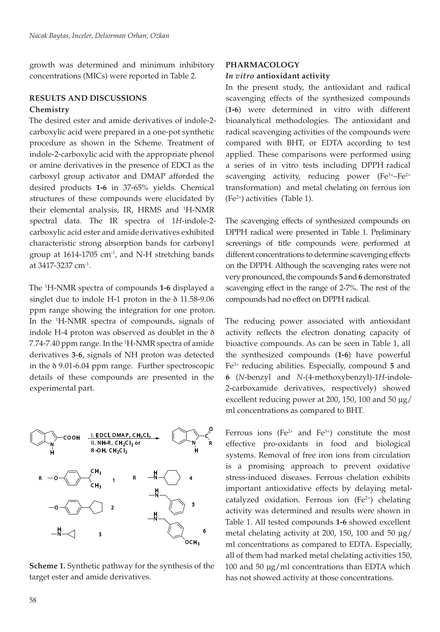growth was determined and minimum inhibitory concentrations (MICs) were reported in Table 2.

### **RESULTS AND DISCUSSIONS Chemistry**

The desired ester and amide derivatives of indole-2 carboxylic acid were prepared in a one-pot synthetic procedure as shown in the Scheme. Treatment of indole-2-carboxylic acid with the appropriate phenol or amine derivatives in the presence of EDCI as the carboxyl group activator and DMAP afforded the desired products **1-6** in 37-65% yields. Chemical structures of these compounds were elucidated by their elemental analysis, IR, HRMS and 1 H-NMR spectral data. The IR spectra of 1*H*-indole-2 carboxylic acid ester and amide derivatives exhibited characteristic strong absorption bands for carbonyl group at  $1614-1705$  cm<sup>-1</sup>, and N-H stretching bands at 3417-3237 cm-1.

The 1 H-NMR spectra of compounds **1-6** displayed a singlet due to indole H-1 proton in the δ 11.58-9.06 ppm range showing the integration for one proton. In the 1 H-NMR spectra of compounds, signals of indole H-4 proton was observed as doublet in the δ 7.74-7.40 ppm range. In the <sup>1</sup>H-NMR spectra of amide derivatives **3**-**6**, signals of NH proton was detected in the δ 9.01-6.04 ppm range. Further spectroscopic details of these compounds are presented in the experimental part.



**Scheme 1.** Synthetic pathway for the synthesis of the target ester and amide derivatives.

# **PHARMACOLOGY**

### *In vitro* **antioxidant activity**

In the present study, the antioxidant and radical scavenging effects of the synthesized compounds (**1-6**) were determined in vitro with different bioanalytical methodologies. The antioxidant and radical scavenging activities of the compounds were compared with BHT, or EDTA according to test applied. These comparisons were performed using a series of in vitro tests including DPPH radical scavenging activity, reducing power  $(Fe^{3+}-Fe^{2+})$ transformation) and metal chelating on ferrous ion  $(Fe<sup>2+</sup>)$  activities (Table 1).

The scavenging effects of synthesized compounds on DPPH radical were presented in Table 1. Preliminary screenings of title compounds were performed at different concentrations to determine scavenging effects on the DPPH. Although the scavenging rates were not very pronounced, the compounds **5** and **6** demonstrated scavenging effect in the range of 2-7%. The rest of the compounds had no effect on DPPH radical.

The reducing power associated with antioxidant activity reflects the electron donating capacity of bioactive compounds. As can be seen in Table 1, all the synthesized compounds (**1-6**) have powerful Fe3+ reducing abilities. Especially, compound **5** and **6** (*N*-benzyl and *N*-(4-methoxybenzyl)-1*H*-indole-2-carboxamide derivatives, respectively) showed excellent reducing power at 200, 150, 100 and 50 μg/ ml concentrations as compared to BHT.

Ferrous ions (Fe<sup>2+</sup> and Fe<sup>3+</sup>) constitute the most effective pro-oxidants in food and biological systems. Removal of free iron ions from circulation is a promising approach to prevent oxidative stress-induced diseases. Ferrous chelation exhibits important antioxidative effects by delaying metalcatalyzed oxidation. Ferrous ion  $(Fe^{2+})$  chelating activity was determined and results were shown in Table 1. All tested compounds **1-6** showed excellent metal chelating activity at 200, 150, 100 and 50 μg/ ml concentrations as compared to EDTA. Especially, all of them had marked metal chelating activities 150, 100 and 50 μg/ml concentrations than EDTA which has not showed activity at those concentrations.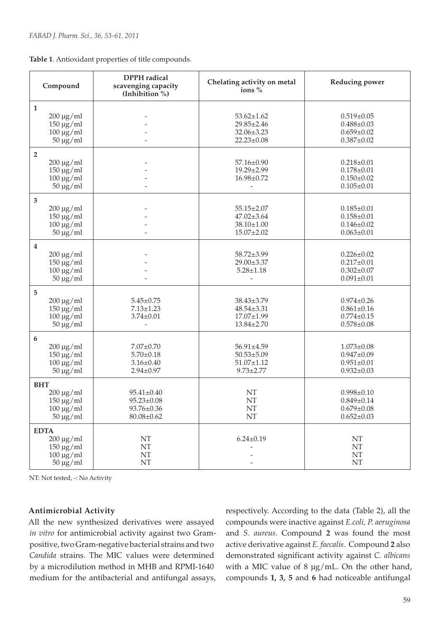| Table 1. Antioxidant properties of title compounds. |  |
|-----------------------------------------------------|--|
|-----------------------------------------------------|--|

| Compound                                                                              | <b>DPPH</b> radical<br>scavenging capacity<br>(Inhibition %)                 | Chelating activity on metal<br>ions %                                        | Reducing power                                                               |  |
|---------------------------------------------------------------------------------------|------------------------------------------------------------------------------|------------------------------------------------------------------------------|------------------------------------------------------------------------------|--|
| $\mathbf{1}$<br>$200 \mu g/ml$<br>$150 \mu g/ml$<br>$100 \mu g/ml$<br>$50 \mu g/ml$   |                                                                              | $53.62 \pm 1.62$<br>29.85±2.46<br>$32.06 \pm 3.23$<br>$22.23 \pm 0.08$       | $0.519 + 0.05$<br>$0.488 + 0.03$<br>$0.659 \pm 0.02$<br>$0.387 + 0.02$       |  |
| $\overline{2}$<br>$200 \mu g/ml$<br>$150 \mu g/ml$<br>$100 \mu g/ml$<br>$50 \mu g/ml$ |                                                                              | 57.16±0.90<br>$19.29 \pm 2.99$<br>$16.98 \pm 0.72$                           | $0.218 + 0.01$<br>$0.178 \pm 0.01$<br>$0.150+0.02$<br>$0.105 \pm 0.01$       |  |
| 3<br>$200 \mu g/ml$<br>$150 \mu g/ml$<br>$100 \mu g/ml$<br>$50 \mu g/ml$              |                                                                              | $55.15 \pm 2.07$<br>$47.02 \pm 3.64$<br>$38.10 \pm 1.00$<br>$15.07 \pm 2.02$ | $0.185 \pm 0.01$<br>$0.158 + 0.01$<br>$0.146 \pm 0.02$<br>$0.063 \pm 0.01$   |  |
| $\overline{4}$<br>$200 \mu g/ml$<br>$150 \mu g/ml$<br>$100 \mu g/ml$<br>$50 \mu g/ml$ |                                                                              | 58.72±3.99<br>$29.00 \pm 3.37$<br>$5.28 \pm 1.18$                            | $0.226 \pm 0.02$<br>$0.217 + 0.01$<br>$0.302 \pm 0.07$<br>$0.091 \pm 0.01$   |  |
| 5<br>$200 \mu g/ml$<br>$150 \mu g/ml$<br>$100 \mu g/ml$<br>$50 \mu g/ml$              | $5.45 \pm 0.75$<br>$7.13 \pm 1.23$<br>$3.74 \pm 0.01$<br>$\overline{a}$      | 38.43±3.79<br>$48.54 \pm 3.31$<br>$17.07 \pm 1.99$<br>$13.84 \pm 2.70$       | $0.974 \pm 0.26$<br>$0.861 \pm 0.16$<br>$0.774 \pm 0.15$<br>$0.578 + 0.08$   |  |
| 6<br>$200 \mu g/ml$<br>$150 \mu g/ml$<br>$100 \mu g/ml$<br>$50 \mu g/ml$              | $7.07 \pm 0.70$<br>$5.70 \pm 0.18$<br>$3.16 \pm 0.40$<br>$2.94 \pm 0.97$     | $56.91 \pm 4.59$<br>$50.53 \pm 5.09$<br>$51.07 \pm 1.12$<br>$9.73 \pm 2.77$  | $1.073 \pm 0.08$<br>$0.947 \pm 0.09$<br>$0.951 \pm 0.01$<br>$0.932 \pm 0.03$ |  |
| <b>BHT</b><br>$200 \mu g/ml$<br>$150 \mu g/ml$<br>$100 \mu g/ml$<br>$50 \mu g/ml$     | $95.41 \pm 0.40$<br>$95.23 \pm 0.08$<br>$93.76 \pm 0.36$<br>$80.08 \pm 0.62$ | NT<br>NT<br>NT<br>$\mathop{\rm NT}\nolimits$                                 | $0.998 \pm 0.10$<br>$0.849 \pm 0.14$<br>$0.679 \pm 0.08$<br>$0.652 \pm 0.03$ |  |
| <b>EDTA</b><br>$200 \mu g/ml$<br>$150 \mu g/ml$<br>$100 \mu g/ml$<br>$50 \mu g/ml$    | NT<br>NT<br>NT<br>NT                                                         | $6.24 \pm 0.19$                                                              | NT<br>NT<br>NT<br>NT                                                         |  |

NT: Not tested, -: No Activity

### **Antimicrobial Activity**

All the new synthesized derivatives were assayed *in vitro* for antimicrobial activity against two Grampositive, two Gram-negative bacterial strains and two *Candida* strains. The MIC values were determined by a microdilution method in MHB and RPMI-1640 medium for the antibacterial and antifungal assays, respectively. According to the data (Table 2), all the compounds were inactive against *E.coli, P. aeruginosa*  and *S. aureus*. Compound **2** was found the most active derivative against *E. faecalis*. Compound **2** also demonstrated significant activity against *C. albicans* with a MIC value of 8 µg/mL. On the other hand, compounds **1, 3, 5** and **6** had noticeable antifungal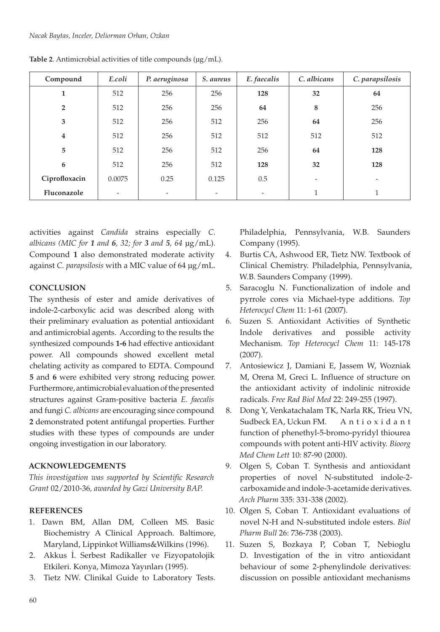| Compound       | E.coli | P. aeruginosa | S. aureus | E. faecalis | C. albicans | C. parapsilosis |
|----------------|--------|---------------|-----------|-------------|-------------|-----------------|
| 1              | 512    | 256           | 256       | 128         | 32          | 64              |
| $\overline{2}$ | 512    | 256           | 256       | 64          | 8           | 256             |
| 3              | 512    | 256           | 512       | 256         | 64          | 256             |
| $\overline{4}$ | 512    | 256           | 512       | 512         | 512         | 512             |
| 5              | 512    | 256           | 512       | 256         | 64          | 128             |
| 6              | 512    | 256           | 512       | 128         | 32          | 128             |
| Ciprofloxacin  | 0.0075 | 0.25          | 0.125     | 0.5         |             |                 |
| Fluconazole    | -      |               |           |             | 1           |                 |

**Table 2**. Antimicrobial activities of title compounds (µg/mL).

activities against *Candida* strains especially *C. albicans (MIC for 1 and 6, 32; for 3 and 5, 64* µg/mL). Compound **1** also demonstrated moderate activity against *C. parapsilosis* with a MIC value of 64 µg/mL.

### **CONCLUSION**

The synthesis of ester and amide derivatives of indole-2-carboxylic acid was described along with their preliminary evaluation as potential antioxidant and antimicrobial agents. According to the results the synthesized compounds **1-6** had effective antioxidant power. All compounds showed excellent metal chelating activity as compared to EDTA. Compound **5** and **6** were exhibited very strong reducing power. Furthermore, antimicrobial evaluation of the presented structures against Gram-positive bacteria *E. faecalis* and fungi *C. albicans* are encouraging since compound **2** demonstrated potent antifungal properties. Further studies with these types of compounds are under ongoing investigation in our laboratory.

### **ACKNOWLEDGEMENTS**

*This investigation was supported by Scientific Research Grant* 02/2010-36*, awarded by Gazi University BAP.*

### **REFERENCES**

- 1. Dawn BM, Allan DM, Colleen MS. Basic Biochemistry A Clinical Approach. Baltimore, Maryland, Lippinkot Williams&Wilkins (1996).
- 2. Akkus İ. Serbest Radikaller ve Fizyopatolojik Etkileri. Konya, Mimoza Yayınları (1995).
- 3. Tietz NW. Clinikal Guide to Laboratory Tests.

Philadelphia, Pennsylvania, W.B. Saunders Company (1995).

- 4. Burtis CA, Ashwood ER, Tietz NW. Textbook of Clinical Chemistry. Philadelphia, Pennsylvania, W.B. Saunders Company (1999).
- 5. Saracoglu N. Functionalization of indole and pyrrole cores via Michael-type additions. *Top Heterocycl Chem* 11: 1-61 (2007).
- 6. Suzen S. Antioxidant Activities of Synthetic Indole derivatives and possible activity Mechanism. *Top Heterocycl Chem* 11: 145-178 (2007).
- 7. Antosiewicz J, Damiani E, Jassem W, Wozniak M, Orena M, Greci L. Influence of structure on the antioxidant activity of indolinic nitroxide radicals. *Free Rad Biol Med* 22: 249-255 (1997).
- 8. Dong Y, Venkatachalam TK, Narla RK, Trieu VN, Sudbeck EA, Uckun FM. Antioxid ant function of phenethyl-5-bromo-pyridyl thiourea compounds with potent anti-HIV activity. *Bioorg Med Chem Lett* 10: 87-90 (2000).
- 9. Olgen S, Coban T. Synthesis and antioxidant properties of novel N-substituted indole-2 carboxamide and indole-3-acetamide derivatives. *Arch Pharm* 335: 331-338 (2002).
- 10. Olgen S, Coban T. Antioxidant evaluations of novel N-H and N-substituted indole esters. *Biol Pharm Bull* 26: 736-738 (2003).
- 11. Suzen S, Bozkaya P, Coban T, Nebioglu D. Investigation of the in vitro antioxidant behaviour of some 2-phenylindole derivatives: discussion on possible antioxidant mechanisms